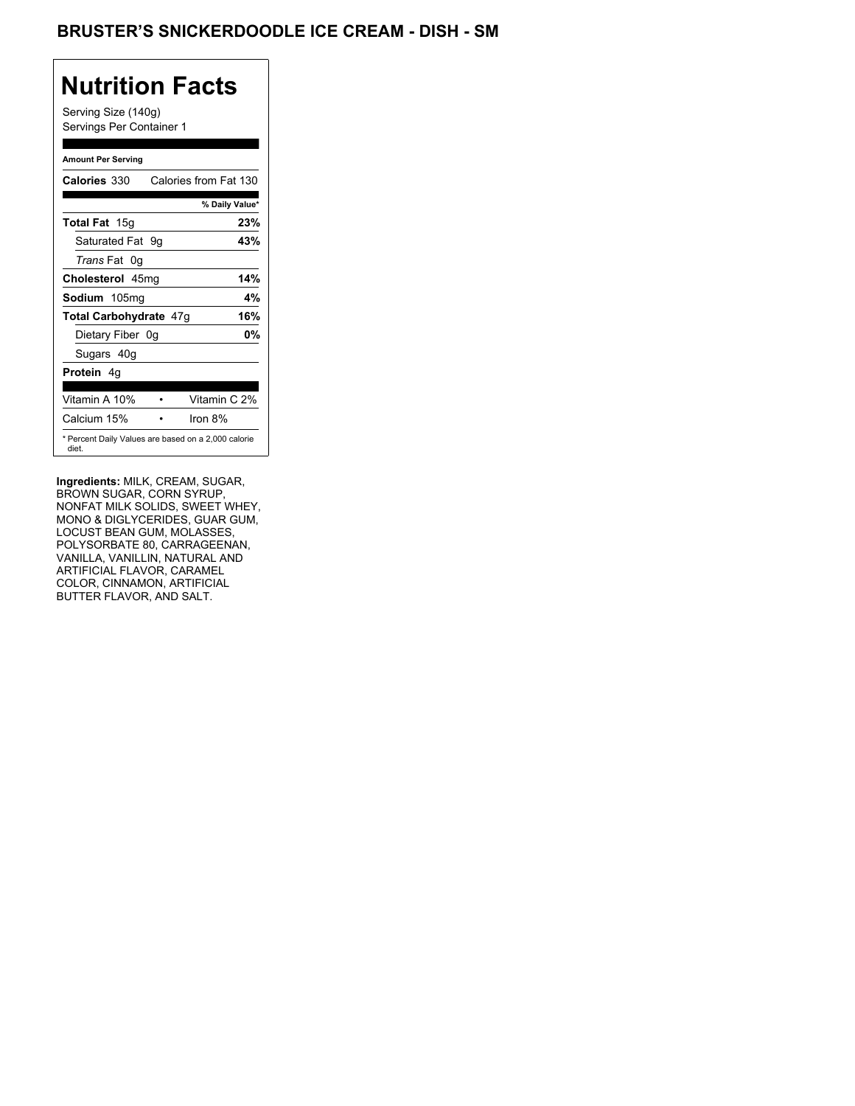## BRUSTER'S SNICKERDOODLE ICE CREAM - DISH - SM

## **Nutrition Facts**

Serving Size (140g) Servings Per Container 1

#### **Amount Per Serving**

| Calories 330           | Calories from Fat 130                               |
|------------------------|-----------------------------------------------------|
|                        | % Daily Value*                                      |
| <b>Total Fat 15g</b>   | 23%                                                 |
| Saturated Fat 9q       | 43%                                                 |
| Trans Fat 0g           |                                                     |
| Cholesterol 45mg       | 14%                                                 |
| Sodium 105mg           | 4%                                                  |
| Total Carbohydrate 47g | 16%                                                 |
| Dietary Fiber 0q       | 0%                                                  |
| Sugars 40g             |                                                     |
| <b>Protein</b> 4q      |                                                     |
| Vitamin A 10%          | Vitamin C 2%                                        |
| Calcium 15%            | Iron 8%                                             |
| diet.                  | * Percent Daily Values are based on a 2,000 calorie |

**Ingredients:** MILK, CREAM, SUGAR, BROWN SUGAR, CORN SYRUP, NONFAT MILK SOLIDS, SWEET WHEY, MONO & DIGLYCERIDES, GUAR GUM, LOCUST BEAN GUM, MOLASSES, POLYSORBATE 80, CARRAGEENAN, VANILLA, VANILLIN, NATURAL AND ARTIFICIAL FLAVOR, CARAMEL COLOR, CINNAMON, ARTIFICIAL BUTTER FLAVOR, AND SALT.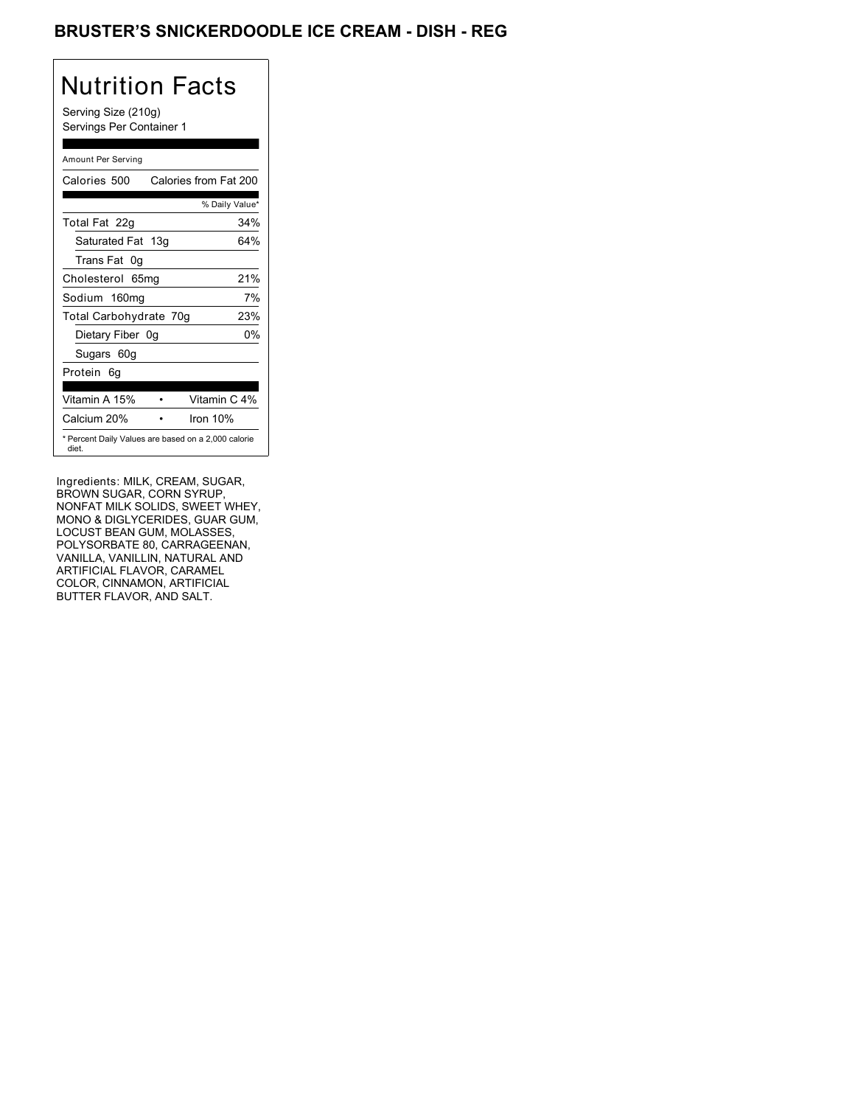## BRUSTER'S SNICKERDOODLE ICE CREAM - DISH - REG

# Nutrition Facts

Serving Size (210g) Servings Per Container 1

### Amount Per Serving

| Calories 500           | Calories from Fat 200                               |
|------------------------|-----------------------------------------------------|
|                        | % Daily Value*                                      |
| Total Fat 22g          | 34%                                                 |
| Saturated Fat 13g      | 64%                                                 |
| Trans Fat 0g           |                                                     |
| Cholesterol 65mg       | 21%                                                 |
| Sodium 160mg           | 7%                                                  |
| Total Carbohydrate 70g | 23%                                                 |
| Dietary Fiber 0g       | 0%                                                  |
| Sugars 60g             |                                                     |
| Protein 6q             |                                                     |
|                        |                                                     |
| Vitamin A 15%          | Vitamin C 4%                                        |
| Calcium 20%            | Iron $10%$                                          |
| diet.                  | * Percent Daily Values are based on a 2,000 calorie |

Ingredients: MILK, CREAM, SUGAR, BROWN SUGAR, CORN SYRUP, NONFAT MILK SOLIDS, SWEET WHEY, MONO & DIGLYCERIDES, GUAR GUM, LOCUST BEAN GUM, MOLASSES, POLYSORBATE 80, CARRAGEENAN, VANILLA, VANILLIN, NATURAL AND ARTIFICIAL FLAVOR, CARAMEL COLOR, CINNAMON, ARTIFICIAL BUTTER FLAVOR, AND SALT.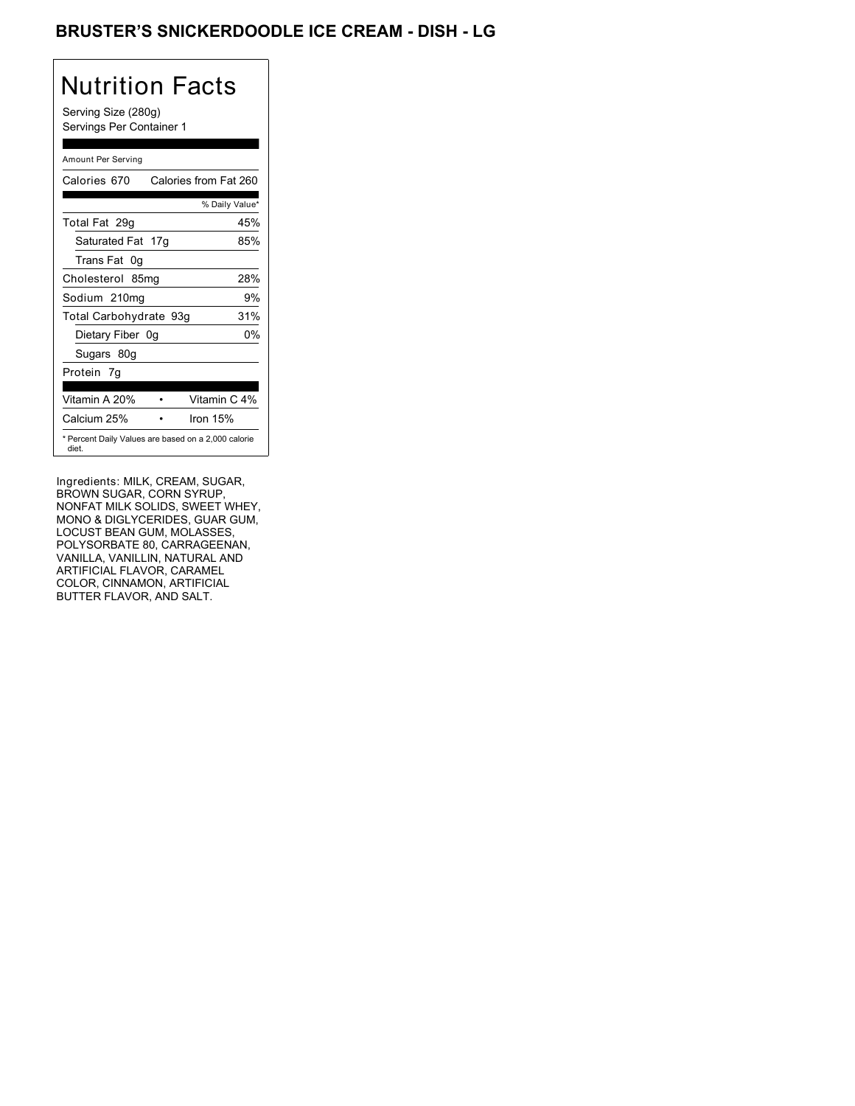## BRUSTER'S SNICKERDOODLE ICE CREAM - DISH - LG

## Nutrition Facts

Serving Size (280g) Servings Per Container 1

### Amount Per Serving

| Calories 670                                                 | Calories from Fat 260 |
|--------------------------------------------------------------|-----------------------|
|                                                              | % Daily Value*        |
| Total Fat 29g                                                | 45%                   |
| Saturated Fat 17g                                            | 85%                   |
| Trans Fat 0q                                                 |                       |
| Cholesterol 85mg                                             | 28%                   |
| Sodium 210mg                                                 | 9%                    |
| Total Carbohydrate 93g                                       | 31%                   |
| Dietary Fiber 0g                                             | 0%                    |
| Sugars 80g                                                   |                       |
| Protein 7q                                                   |                       |
| Vitamin A 20%                                                | Vitamin C 4%          |
| Calcium 25%                                                  | Iron $15%$            |
| * Percent Daily Values are based on a 2,000 calorie<br>diet. |                       |

Ingredients: MILK, CREAM, SUGAR, BROWN SUGAR, CORN SYRUP, NONFAT MILK SOLIDS, SWEET WHEY, MONO & DIGLYCERIDES, GUAR GUM, LOCUST BEAN GUM, MOLASSES, POLYSORBATE 80, CARRAGEENAN, VANILLA, VANILLIN, NATURAL AND ARTIFICIAL FLAVOR, CARAMEL COLOR, CINNAMON, ARTIFICIAL BUTTER FLAVOR, AND SALT.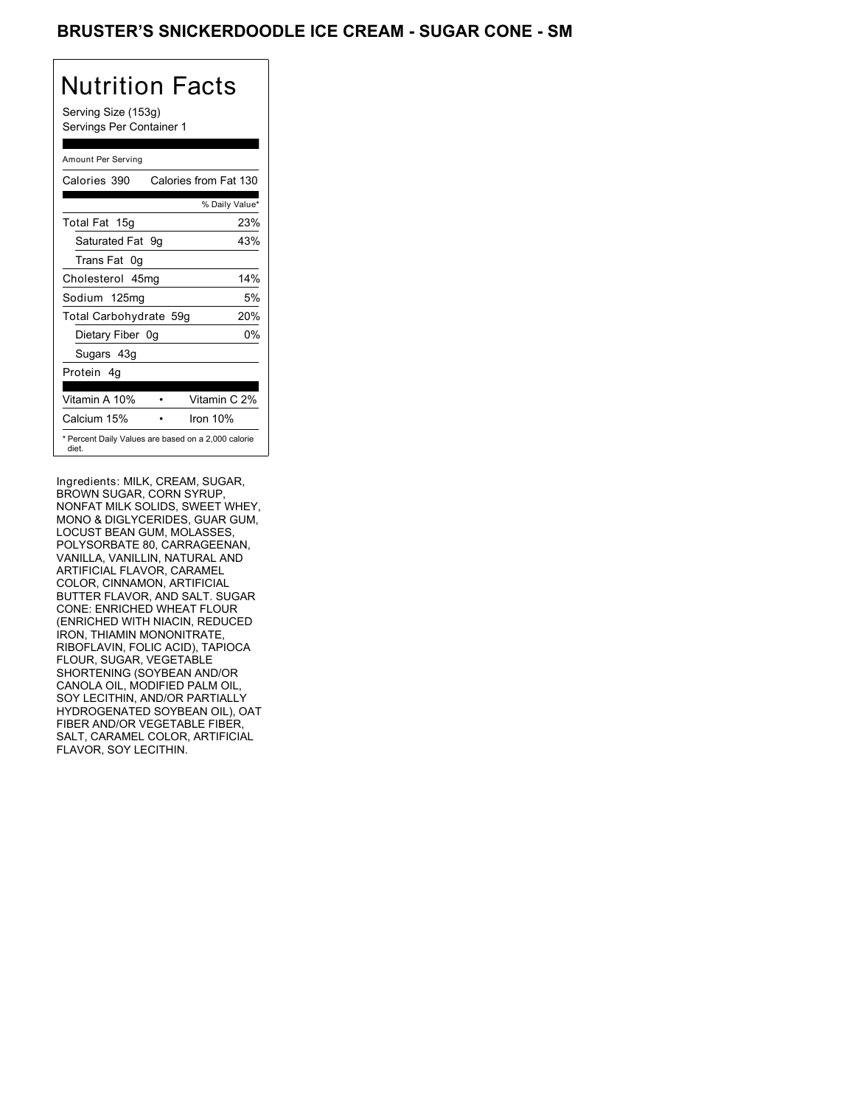### BRUSTER'S SNICKERDOODLE ICE CREAM - SUGAR CONE - SM

## Nutrition Facts

Serving Size (153g) Servings Per Container 1

### Amount Per Serving

| Calories 390                                                 | Calories from Fat 130 |     |
|--------------------------------------------------------------|-----------------------|-----|
|                                                              | % Daily Value*        |     |
| Total Fat 15g                                                |                       | 23% |
| Saturated Fat 9q                                             |                       | 43% |
| Trans Fat 0q                                                 |                       |     |
| Cholesterol 45mg                                             |                       | 14% |
| Sodium 125mg                                                 |                       | 5%  |
| Total Carbohydrate 59g                                       |                       | 20% |
| Dietary Fiber 0g                                             |                       | 0%  |
| Sugars 43g                                                   |                       |     |
| Protein 4q                                                   |                       |     |
| Vitamin A 10%                                                | Vitamin C 2%          |     |
| Calcium 15%                                                  | Iron $10%$            |     |
| * Percent Daily Values are based on a 2,000 calorie<br>diet. |                       |     |

Ingredients: MILK, CREAM, SUGAR, BROWN SUGAR, CORN SYRUP, NONFAT MILK SOLIDS, SWEET WHEY, MONO & DIGLYCERIDES, GUAR GUM, LOCUST BEAN GUM, MOLASSES, POLYSORBATE 80, CARRAGEENAN, VANILLA, VANILLIN, NATURAL AND ARTIFICIAL FLAVOR, CARAMEL COLOR, CINNAMON, ARTIFICIAL BUTTER FLAVOR, AND SALT. SUGAR CONE: ENRICHED WHEAT FLOUR (ENRICHED WITH NIACIN, REDUCED IRON, THIAMIN MONONITRATE, RIBOFLAVIN, FOLIC ACID), TAPIOCA FLOUR, SUGAR, VEGETABLE SHORTENING (SOYBEAN AND/OR CANOLA OIL, MODIFIED PALM OIL, SOY LECITHIN, AND/OR PARTIALLY HYDROGENATED SOYBEAN OIL), OAT FIBER AND/OR VEGETABLE FIBER, SALT, CARAMEL COLOR, ARTIFICIAL FLAVOR, SOY LECITHIN.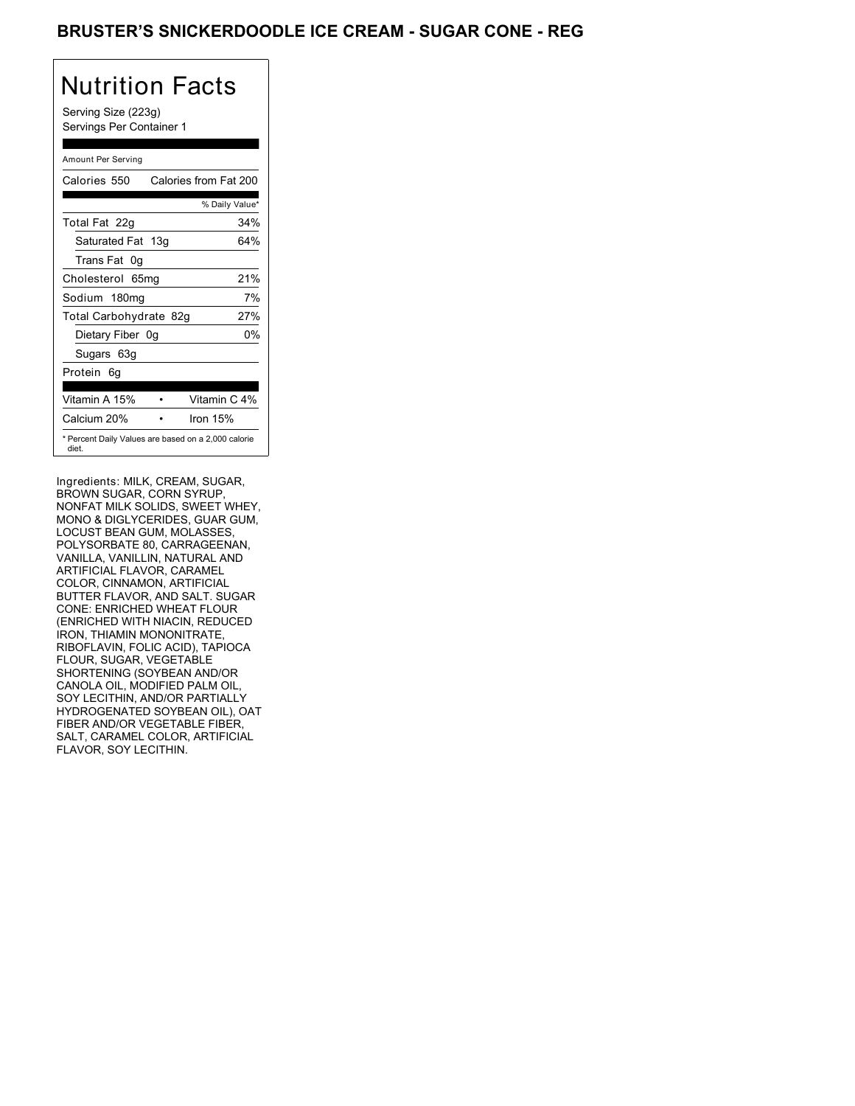### BRUSTER'S SNICKERDOODLE ICE CREAM - SUGAR CONE - REG

## Nutrition Facts

Serving Size (223g) Servings Per Container 1

#### Amount Per Serving

| Calories 550                                                 | Calories from Fat 200 |
|--------------------------------------------------------------|-----------------------|
|                                                              | % Daily Value*        |
| Total Fat 22g                                                | 34%                   |
| Saturated Fat 13g                                            | 64%                   |
| Trans Fat 0q                                                 |                       |
| Cholesterol 65mg                                             | 21%                   |
| Sodium 180mg                                                 | 7%                    |
| Total Carbohydrate 82g                                       | 27%                   |
| Dietary Fiber 0g                                             | 0%                    |
| Sugars 63g                                                   |                       |
| Protein 6q                                                   |                       |
| Vitamin A 15%                                                | Vitamin C 4%          |
| Calcium 20%                                                  | Iron $15%$            |
| * Percent Daily Values are based on a 2,000 calorie<br>diet. |                       |

Ingredients: MILK, CREAM, SUGAR, BROWN SUGAR, CORN SYRUP, NONFAT MILK SOLIDS, SWEET WHEY, MONO & DIGLYCERIDES, GUAR GUM, LOCUST BEAN GUM, MOLASSES, POLYSORBATE 80, CARRAGEENAN, VANILLA, VANILLIN, NATURAL AND ARTIFICIAL FLAVOR, CARAMEL COLOR, CINNAMON, ARTIFICIAL BUTTER FLAVOR, AND SALT. SUGAR CONE: ENRICHED WHEAT FLOUR (ENRICHED WITH NIACIN, REDUCED IRON, THIAMIN MONONITRATE, RIBOFLAVIN, FOLIC ACID), TAPIOCA FLOUR, SUGAR, VEGETABLE SHORTENING (SOYBEAN AND/OR CANOLA OIL, MODIFIED PALM OIL, SOY LECITHIN, AND/OR PARTIALLY HYDROGENATED SOYBEAN OIL), OAT FIBER AND/OR VEGETABLE FIBER, SALT, CARAMEL COLOR, ARTIFICIAL FLAVOR, SOY LECITHIN.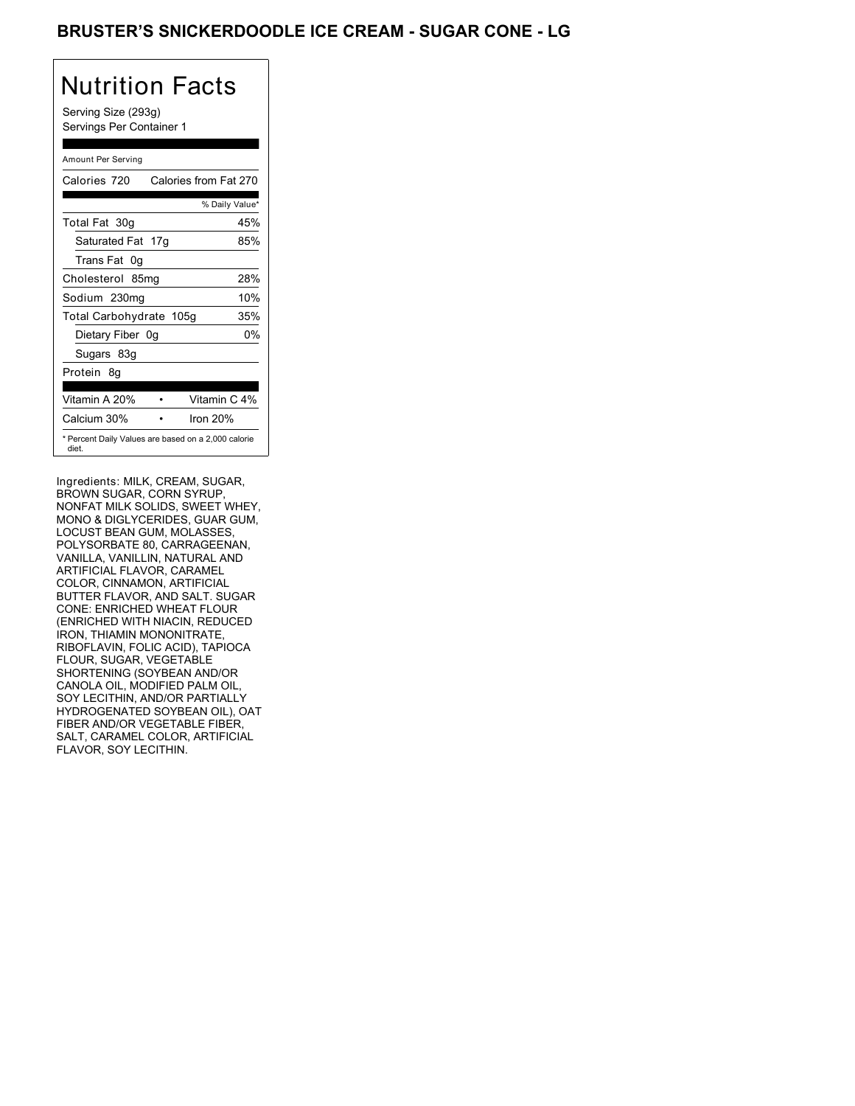### BRUSTER'S SNICKERDOODLE ICE CREAM - SUGAR CONE - LG

## Nutrition Facts

Serving Size (293g) Servings Per Container 1

#### Amount Per Serving

| Calories 720            | Calories from Fat 270                               |
|-------------------------|-----------------------------------------------------|
|                         | % Daily Value*                                      |
| Total Fat 30g           | 45%                                                 |
| Saturated Fat 17g       | 85%                                                 |
| Trans Fat 0q            |                                                     |
| Cholesterol 85mg        | 28%                                                 |
| Sodium 230mg            | 10%                                                 |
| Total Carbohydrate 105g | 35%                                                 |
| Dietary Fiber 0g        | 0%                                                  |
| Sugars 83g              |                                                     |
| Protein 8q              |                                                     |
| Vitamin A 20%           | Vitamin C 4%                                        |
| Calcium 30%             | Iron $20%$                                          |
| diet.                   | * Percent Daily Values are based on a 2,000 calorie |

Ingredients: MILK, CREAM, SUGAR, BROWN SUGAR, CORN SYRUP, NONFAT MILK SOLIDS, SWEET WHEY, MONO & DIGLYCERIDES, GUAR GUM, LOCUST BEAN GUM, MOLASSES, POLYSORBATE 80, CARRAGEENAN, VANILLA, VANILLIN, NATURAL AND ARTIFICIAL FLAVOR, CARAMEL COLOR, CINNAMON, ARTIFICIAL BUTTER FLAVOR, AND SALT. SUGAR CONE: ENRICHED WHEAT FLOUR (ENRICHED WITH NIACIN, REDUCED IRON, THIAMIN MONONITRATE, RIBOFLAVIN, FOLIC ACID), TAPIOCA FLOUR, SUGAR, VEGETABLE SHORTENING (SOYBEAN AND/OR CANOLA OIL, MODIFIED PALM OIL, SOY LECITHIN, AND/OR PARTIALLY HYDROGENATED SOYBEAN OIL), OAT FIBER AND/OR VEGETABLE FIBER, SALT, CARAMEL COLOR, ARTIFICIAL FLAVOR, SOY LECITHIN.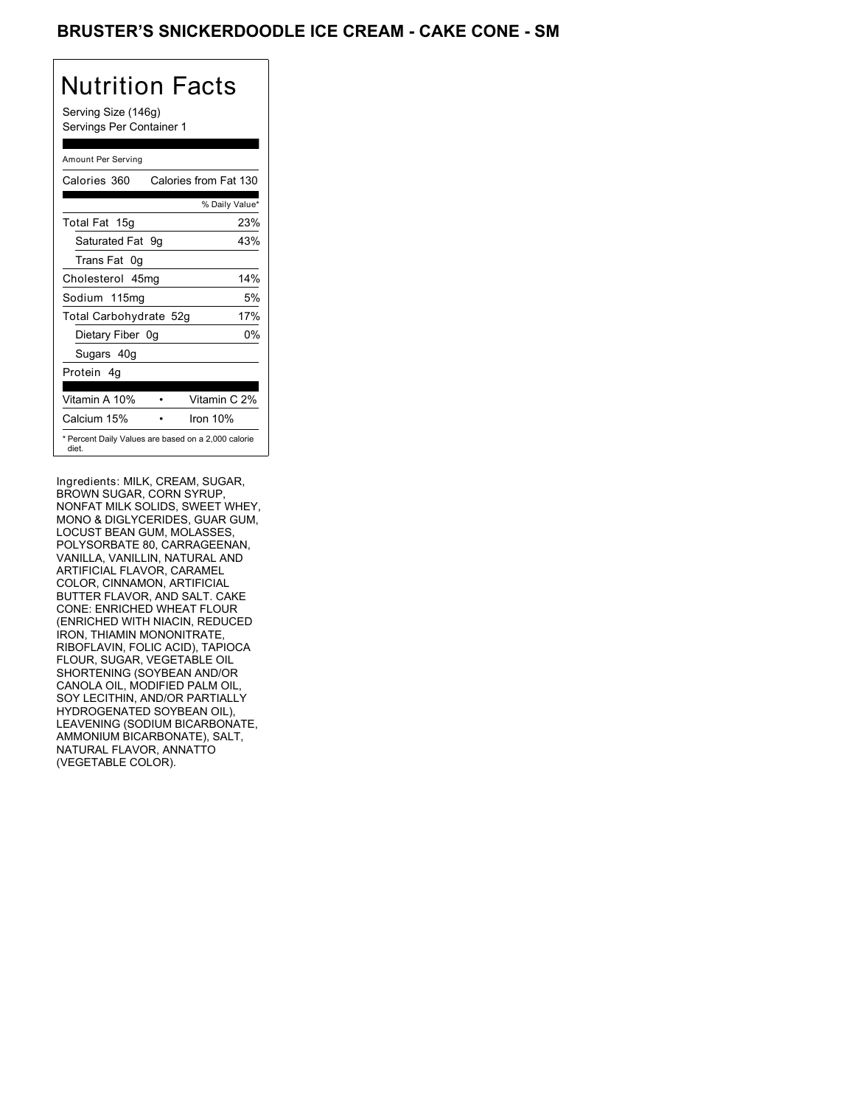### BRUSTER'S SNICKERDOODLE ICE CREAM - CAKE CONE - SM

## Nutrition Facts

Serving Size (146g) Servings Per Container 1

### Amount Per Serving

| Calories 360           | Calories from Fat 130                               |
|------------------------|-----------------------------------------------------|
|                        | % Daily Value*                                      |
| Total Fat 15g          | 23%                                                 |
| Saturated Fat 9g       | 43%                                                 |
| Trans Fat 0q           |                                                     |
| Cholesterol 45mg       | 14%                                                 |
| Sodium 115mg           | 5%                                                  |
| Total Carbohydrate 52g | 17%                                                 |
| Dietary Fiber 0g       | 0%                                                  |
| Sugars 40g             |                                                     |
| Protein 4q             |                                                     |
| Vitamin A 10%          | Vitamin C 2%                                        |
| Calcium 15%            | Iron $10%$                                          |
| diet.                  | * Percent Daily Values are based on a 2,000 calorie |

Ingredients: MILK, CREAM, SUGAR, BROWN SUGAR, CORN SYRUP, NONFAT MILK SOLIDS, SWEET WHEY, MONO & DIGLYCERIDES, GUAR GUM, LOCUST BEAN GUM, MOLASSES, POLYSORBATE 80, CARRAGEENAN, VANILLA, VANILLIN, NATURAL AND ARTIFICIAL FLAVOR, CARAMEL COLOR, CINNAMON, ARTIFICIAL BUTTER FLAVOR, AND SALT. CAKE CONE: ENRICHED WHEAT FLOUR (ENRICHED WITH NIACIN, REDUCED IRON, THIAMIN MONONITRATE, RIBOFLAVIN, FOLIC ACID), TAPIOCA FLOUR, SUGAR, VEGETABLE OIL SHORTENING (SOYBEAN AND/OR CANOLA OIL, MODIFIED PALM OIL, SOY LECITHIN, AND/OR PARTIALLY HYDROGENATED SOYBEAN OIL), LEAVENING (SODIUM BICARBONATE, AMMONIUM BICARBONATE), SALT, NATURAL FLAVOR, ANNATTO (VEGETABLE COLOR).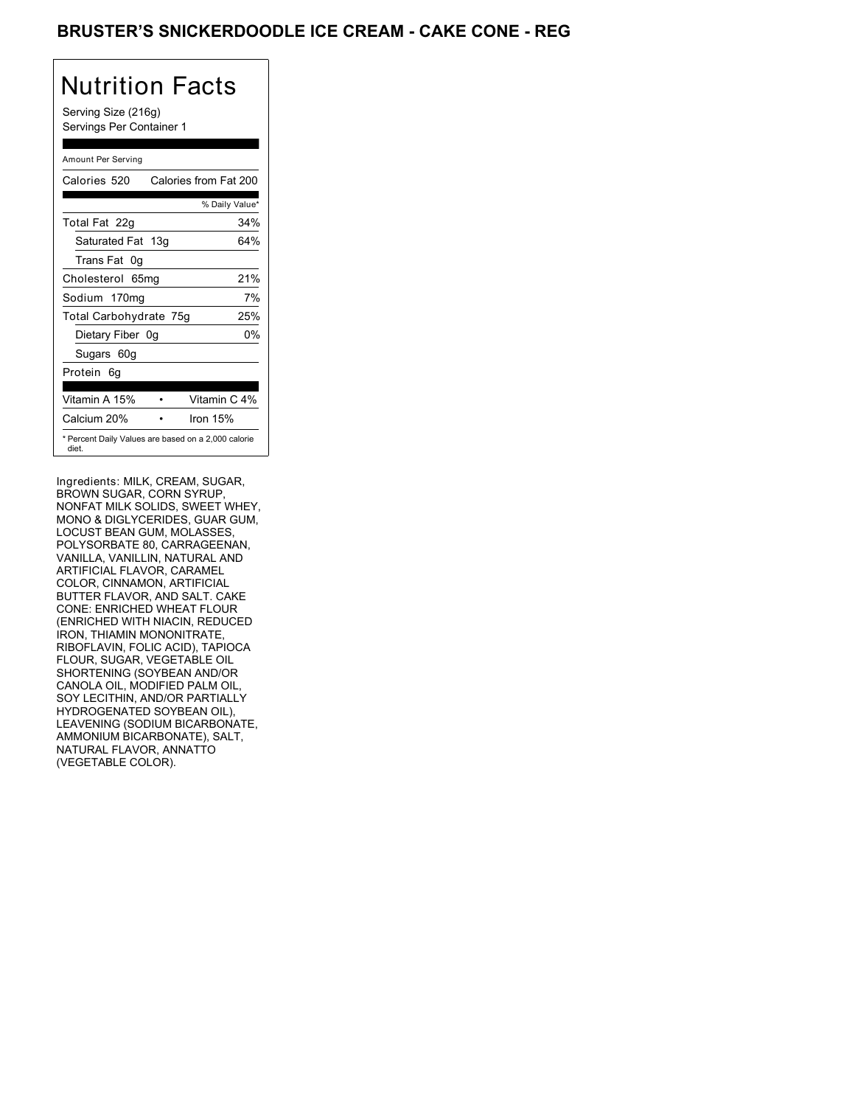### BRUSTER'S SNICKERDOODLE ICE CREAM - CAKE CONE - REG

## Nutrition Facts

Serving Size (216g) Servings Per Container 1

#### Amount Per Serving

| Calories 520                  |  | Calories from Fat 200                               |
|-------------------------------|--|-----------------------------------------------------|
|                               |  | % Daily Value*                                      |
| Total Fat 22g                 |  | 34%                                                 |
| Saturated Fat 13g             |  | 64%                                                 |
| Trans Fat 0q                  |  |                                                     |
| Cholesterol 65mg              |  | 21%                                                 |
| Sodium 170mg                  |  | 7%                                                  |
| Total Carbohydrate 75g<br>25% |  |                                                     |
| Dietary Fiber 0g              |  | 0%                                                  |
| Sugars 60g                    |  |                                                     |
| Protein 6q                    |  |                                                     |
|                               |  |                                                     |
| Vitamin A 15%                 |  | Vitamin C 4%                                        |
| Calcium 20%                   |  | Iron $15%$                                          |
| diet.                         |  | * Percent Daily Values are based on a 2,000 calorie |

Ingredients: MILK, CREAM, SUGAR, BROWN SUGAR, CORN SYRUP, NONFAT MILK SOLIDS, SWEET WHEY, MONO & DIGLYCERIDES, GUAR GUM, LOCUST BEAN GUM, MOLASSES, POLYSORBATE 80, CARRAGEENAN, VANILLA, VANILLIN, NATURAL AND ARTIFICIAL FLAVOR, CARAMEL COLOR, CINNAMON, ARTIFICIAL BUTTER FLAVOR, AND SALT. CAKE CONE: ENRICHED WHEAT FLOUR (ENRICHED WITH NIACIN, REDUCED IRON, THIAMIN MONONITRATE, RIBOFLAVIN, FOLIC ACID), TAPIOCA FLOUR, SUGAR, VEGETABLE OIL SHORTENING (SOYBEAN AND/OR CANOLA OIL, MODIFIED PALM OIL, SOY LECITHIN, AND/OR PARTIALLY HYDROGENATED SOYBEAN OIL), LEAVENING (SODIUM BICARBONATE, AMMONIUM BICARBONATE), SALT, NATURAL FLAVOR, ANNATTO (VEGETABLE COLOR).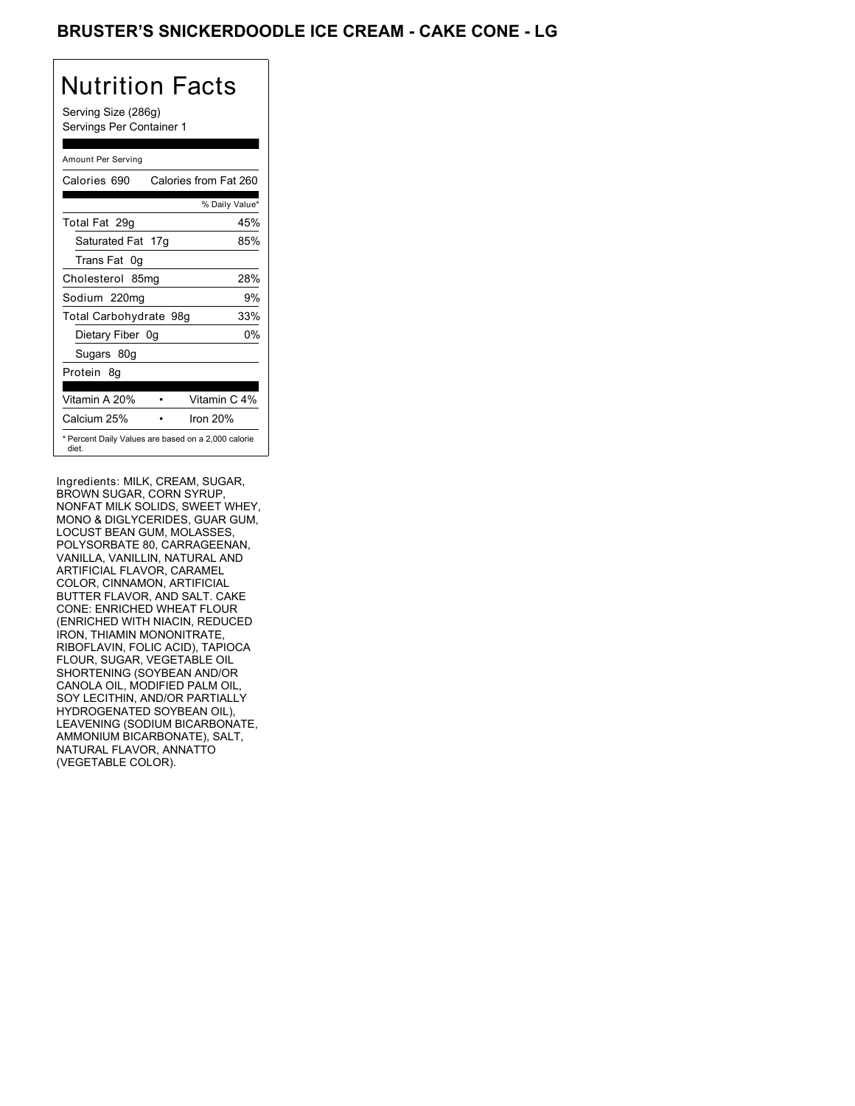### BRUSTER'S SNICKERDOODLE ICE CREAM - CAKE CONE - LG

## Nutrition Facts

Serving Size (286g) Servings Per Container 1

#### Amount Per Serving

| Calories 690           | Calories from Fat 260                               |
|------------------------|-----------------------------------------------------|
|                        | % Daily Value*                                      |
| Total Fat 29q          | 45%                                                 |
| Saturated Fat 17g      | 85%                                                 |
| Trans Fat 0q           |                                                     |
| Cholesterol 85mg       | 28%                                                 |
| Sodium 220mg           | 9%                                                  |
| Total Carbohydrate 98g | 33%                                                 |
| Dietary Fiber 0g       | 0%                                                  |
| Sugars 80g             |                                                     |
| Protein 8q             |                                                     |
| Vitamin A 20%          | Vitamin C 4%                                        |
| Calcium 25%            | Iron $20%$                                          |
| diet.                  | * Percent Daily Values are based on a 2,000 calorie |

Ingredients: MILK, CREAM, SUGAR, BROWN SUGAR, CORN SYRUP, NONFAT MILK SOLIDS, SWEET WHEY, MONO & DIGLYCERIDES, GUAR GUM, LOCUST BEAN GUM, MOLASSES, POLYSORBATE 80, CARRAGEENAN, VANILLA, VANILLIN, NATURAL AND ARTIFICIAL FLAVOR, CARAMEL COLOR, CINNAMON, ARTIFICIAL BUTTER FLAVOR, AND SALT. CAKE CONE: ENRICHED WHEAT FLOUR (ENRICHED WITH NIACIN, REDUCED IRON, THIAMIN MONONITRATE, RIBOFLAVIN, FOLIC ACID), TAPIOCA FLOUR, SUGAR, VEGETABLE OIL SHORTENING (SOYBEAN AND/OR CANOLA OIL, MODIFIED PALM OIL, SOY LECITHIN, AND/OR PARTIALLY HYDROGENATED SOYBEAN OIL), LEAVENING (SODIUM BICARBONATE, AMMONIUM BICARBONATE), SALT, NATURAL FLAVOR, ANNATTO (VEGETABLE COLOR).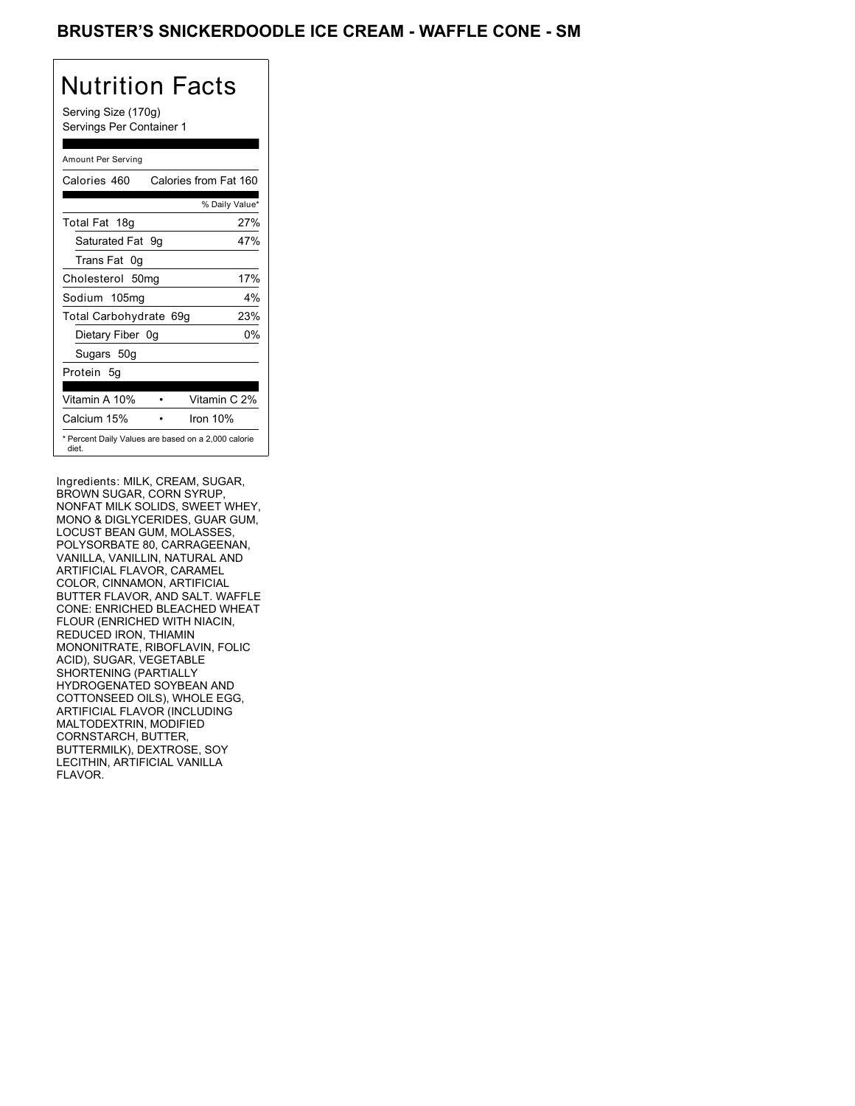### BRUSTER'S SNICKERDOODLE ICE CREAM - WAFFLE CONE - SM

## Nutrition Facts

Serving Size (170g) Servings Per Container 1

### Amount Per Serving

| Calories 460           | Calories from Fat 160                               |
|------------------------|-----------------------------------------------------|
|                        | % Daily Value*                                      |
| Total Fat 18g          | 27%                                                 |
| Saturated Fat 9q       | 47%                                                 |
| Trans Fat 0q           |                                                     |
| Cholesterol 50mg       | 17%                                                 |
| Sodium 105mg           | $4\%$                                               |
| Total Carbohydrate 69g | 23%                                                 |
| Dietary Fiber 0g       | 0%                                                  |
| Sugars 50g             |                                                     |
| Protein 5q             |                                                     |
|                        |                                                     |
| Vitamin A 10%          | Vitamin C 2%                                        |
| Calcium 15%            | Iron $10%$                                          |
| diet.                  | * Percent Daily Values are based on a 2,000 calorie |

Ingredients: MILK, CREAM, SUGAR, BROWN SUGAR, CORN SYRUP, NONFAT MILK SOLIDS, SWEET WHEY, MONO & DIGLYCERIDES, GUAR GUM, LOCUST BEAN GUM, MOLASSES, POLYSORBATE 80, CARRAGEENAN, VANILLA, VANILLIN, NATURAL AND ARTIFICIAL FLAVOR, CARAMEL COLOR, CINNAMON, ARTIFICIAL BUTTER FLAVOR, AND SALT. WAFFLE CONE: ENRICHED BLEACHED WHEAT FLOUR (ENRICHED WITH NIACIN, REDUCED IRON, THIAMIN MONONITRATE, RIBOFLAVIN, FOLIC ACID), SUGAR, VEGETABLE SHORTENING (PARTIALLY HYDROGENATED SOYBEAN AND COTTONSEED OILS), WHOLE EGG, ARTIFICIAL FLAVOR (INCLUDING MALTODEXTRIN, MODIFIED CORNSTARCH, BUTTER, BUTTERMILK), DEXTROSE, SOY LECITHIN, ARTIFICIAL VANILLA FLAVOR.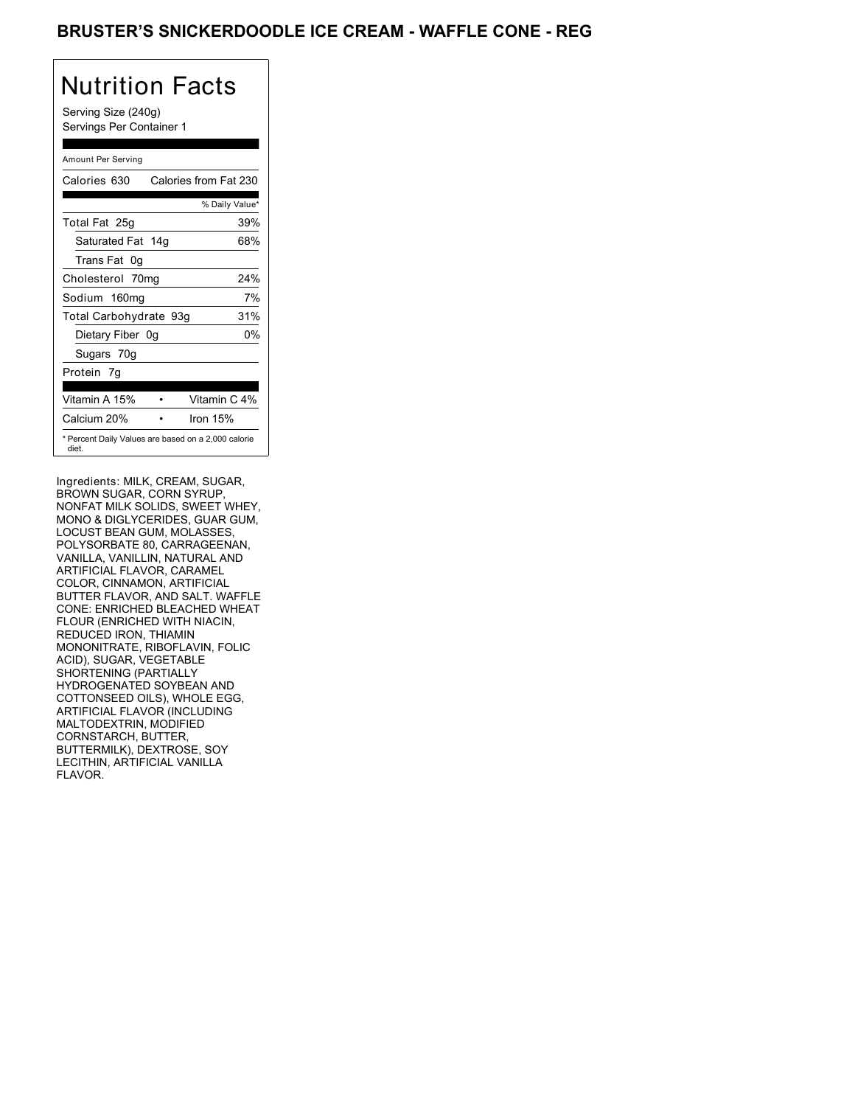### BRUSTER'S SNICKERDOODLE ICE CREAM - WAFFLE CONE - REG

## Nutrition Facts

Serving Size (240g) Servings Per Container 1

### Amount Per Serving

| Calories 630           | Calories from Fat 230                               |
|------------------------|-----------------------------------------------------|
|                        | % Daily Value*                                      |
| Total Fat 25g          | 39%                                                 |
| Saturated Fat 14g      | 68%                                                 |
| Trans Fat 0q           |                                                     |
| Cholesterol 70mg       | 24%                                                 |
| Sodium 160mg           | 7%                                                  |
| Total Carbohydrate 93g | 31%                                                 |
| Dietary Fiber 0g       | 0%                                                  |
| Sugars 70g             |                                                     |
| Protein 7q             |                                                     |
| Vitamin A 15%          | Vitamin C 4%                                        |
| Calcium 20%            | Iron $15%$                                          |
| diet.                  | * Percent Daily Values are based on a 2,000 calorie |

Ingredients: MILK, CREAM, SUGAR, BROWN SUGAR, CORN SYRUP, NONFAT MILK SOLIDS, SWEET WHEY, MONO & DIGLYCERIDES, GUAR GUM, LOCUST BEAN GUM, MOLASSES, POLYSORBATE 80, CARRAGEENAN, VANILLA, VANILLIN, NATURAL AND ARTIFICIAL FLAVOR, CARAMEL COLOR, CINNAMON, ARTIFICIAL BUTTER FLAVOR, AND SALT. WAFFLE CONE: ENRICHED BLEACHED WHEAT FLOUR (ENRICHED WITH NIACIN, REDUCED IRON, THIAMIN MONONITRATE, RIBOFLAVIN, FOLIC ACID), SUGAR, VEGETABLE SHORTENING (PARTIALLY HYDROGENATED SOYBEAN AND COTTONSEED OILS), WHOLE EGG, ARTIFICIAL FLAVOR (INCLUDING MALTODEXTRIN, MODIFIED CORNSTARCH, BUTTER, BUTTERMILK), DEXTROSE, SOY LECITHIN, ARTIFICIAL VANILLA FLAVOR.